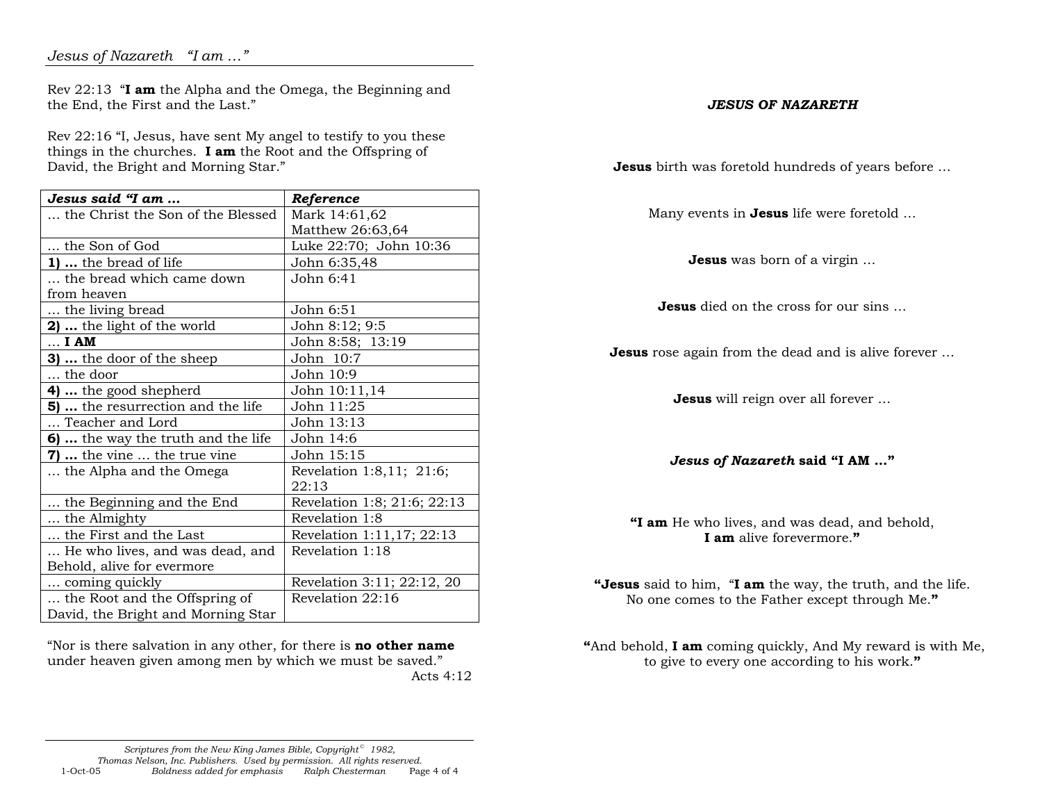Rev 22:13 "**I am** the Alpha and the Omega, the Beginning and the End, the First and the Last."

Rev 22:16 "I, Jesus, have sent My angel to testify to you these things in the churches. **I am** the Root and the Offspring of David, the Bright and Morning Star."

| Jesus said "I am                   | Reference                   |
|------------------------------------|-----------------------------|
| the Christ the Son of the Blessed  | Mark 14:61,62               |
|                                    | Matthew 26:63,64            |
| the Son of God                     | Luke 22:70; John 10:36      |
| <b>1)</b> the bread of life        | John 6:35,48                |
| the bread which came down          | John 6:41                   |
| from heaven                        |                             |
| the living bread                   | John 6:51                   |
| 2)  the light of the world         | John 8:12; 9:5              |
| $\ldots$ I AM                      | John 8:58; 13:19            |
| <b>3)</b> the door of the sheep    | John 10:7                   |
| the door                           | John 10:9                   |
| 4)  the good shepherd              | John 10:11,14               |
| 5)  the resurrection and the life  | John 11:25                  |
| Teacher and Lord                   | John 13:13                  |
| 6)  the way the truth and the life | John 14:6                   |
| <b>7) </b> the vine  the true vine | John 15:15                  |
| the Alpha and the Omega            | Revelation 1:8,11; 21:6;    |
|                                    | 22:13                       |
| the Beginning and the End          | Revelation 1:8; 21:6; 22:13 |
| the Almighty                       | Revelation 1:8              |
| the First and the Last             | Revelation 1:11,17; 22:13   |
| He who lives, and was dead, and    | Revelation 1:18             |
| Behold, alive for evermore         |                             |
| coming quickly                     | Revelation 3:11; 22:12, 20  |
| the Root and the Offspring of      | Revelation 22:16            |
| David, the Bright and Morning Star |                             |

"Nor is there salvation in any other, for there is **no other name** under heaven given among men by which we must be saved." Acts 4:12

## *Scriptures from the New King James Bible, Copyright*<sup>©</sup> 1982,

 *Thomas Nelson, Inc. Publishers. Used by permission. All rights reserved.*Page 4 of 4 1-Oct-05 *Boldness added for emphasis Ralph Chesterman* Page 4 of 4

## *JESUS OF NAZARETH*

**Jesus** birth was foretold hundreds of years before …

Many events in **Jesus** life were foretold …

**Jesus** was born of a virgin …

**Jesus** died on the cross for our sins …

**Jesus** rose again from the dead and is alive forever …

**Jesus** will reign over all forever …

*Jesus of Nazareth* **said "I AM …"** 

**"I am** He who lives, and was dead, and behold, **I am** alive forevermore.**"**

**"Jesus** said to him, "**I am** the way, the truth, and the life. No one comes to the Father except through Me.**"**

**"**And behold, **I am** coming quickly, And My reward is with Me, to give to every one according to his work.**"**